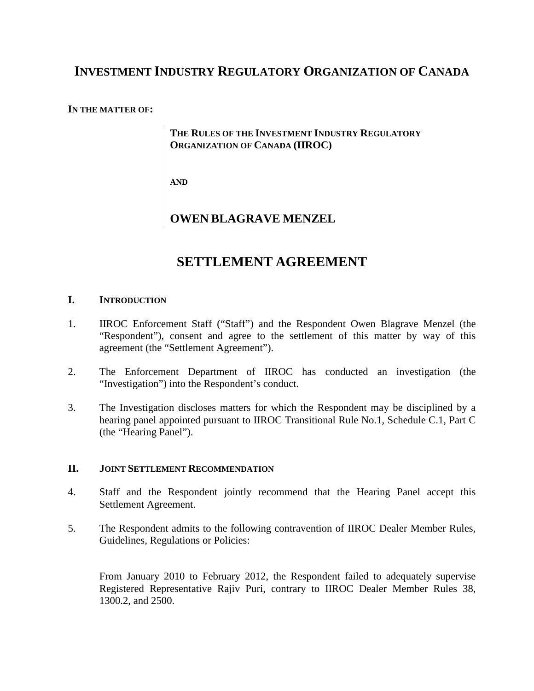## **INVESTMENT INDUSTRY REGULATORY ORGANIZATION OF CANADA**

#### **IN THE MATTER OF:**

## **THE RULES OF THE INVESTMENT INDUSTRY REGULATORY ORGANIZATION OF CANADA (IIROC)**

**AND**

## **OWEN BLAGRAVE MENZEL**

# **SETTLEMENT AGREEMENT**

## **I. INTRODUCTION**

- 1. IIROC Enforcement Staff ("Staff") and the Respondent Owen Blagrave Menzel (the "Respondent"), consent and agree to the settlement of this matter by way of this agreement (the "Settlement Agreement").
- 2. The Enforcement Department of IIROC has conducted an investigation (the "Investigation") into the Respondent's conduct.
- 3. The Investigation discloses matters for which the Respondent may be disciplined by a hearing panel appointed pursuant to IIROC Transitional Rule No.1, Schedule C.1, Part C (the "Hearing Panel").

#### **II. JOINT SETTLEMENT RECOMMENDATION**

- 4. Staff and the Respondent jointly recommend that the Hearing Panel accept this Settlement Agreement.
- 5. The Respondent admits to the following contravention of IIROC Dealer Member Rules, Guidelines, Regulations or Policies:

From January 2010 to February 2012, the Respondent failed to adequately supervise Registered Representative Rajiv Puri, contrary to IIROC Dealer Member Rules 38, 1300.2, and 2500.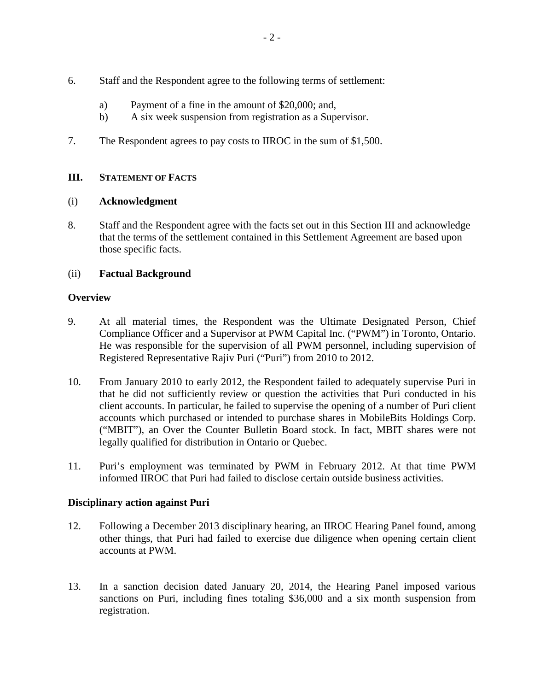- 6. Staff and the Respondent agree to the following terms of settlement:
	- a) Payment of a fine in the amount of \$20,000; and,
	- b) A six week suspension from registration as a Supervisor.
- 7. The Respondent agrees to pay costs to IIROC in the sum of \$1,500.

## **III. STATEMENT OF FACTS**

## (i) **Acknowledgment**

8. Staff and the Respondent agree with the facts set out in this Section III and acknowledge that the terms of the settlement contained in this Settlement Agreement are based upon those specific facts.

## (ii) **Factual Background**

## **Overview**

- 9. At all material times, the Respondent was the Ultimate Designated Person, Chief Compliance Officer and a Supervisor at PWM Capital Inc. ("PWM") in Toronto, Ontario. He was responsible for the supervision of all PWM personnel, including supervision of Registered Representative Rajiv Puri ("Puri") from 2010 to 2012.
- 10. From January 2010 to early 2012, the Respondent failed to adequately supervise Puri in that he did not sufficiently review or question the activities that Puri conducted in his client accounts. In particular, he failed to supervise the opening of a number of Puri client accounts which purchased or intended to purchase shares in MobileBits Holdings Corp. ("MBIT"), an Over the Counter Bulletin Board stock. In fact, MBIT shares were not legally qualified for distribution in Ontario or Quebec.
- 11. Puri's employment was terminated by PWM in February 2012. At that time PWM informed IIROC that Puri had failed to disclose certain outside business activities.

## **Disciplinary action against Puri**

- 12. Following a December 2013 disciplinary hearing, an IIROC Hearing Panel found, among other things, that Puri had failed to exercise due diligence when opening certain client accounts at PWM.
- 13. In a sanction decision dated January 20, 2014, the Hearing Panel imposed various sanctions on Puri, including fines totaling \$36,000 and a six month suspension from registration.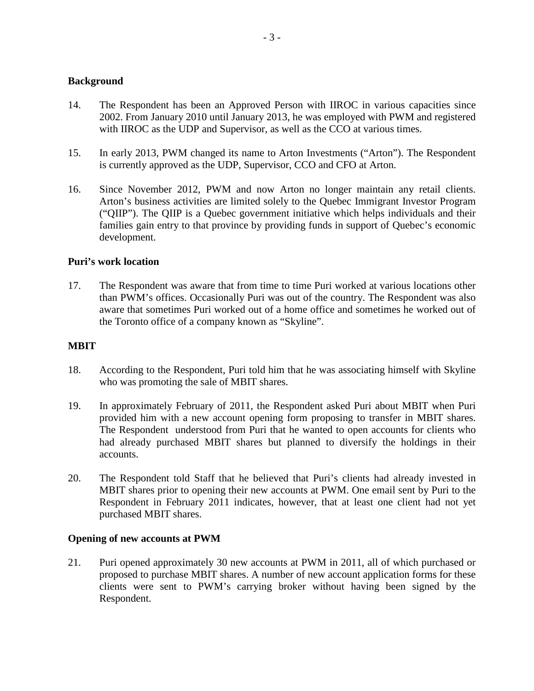## **Background**

- 14. The Respondent has been an Approved Person with IIROC in various capacities since 2002. From January 2010 until January 2013, he was employed with PWM and registered with IIROC as the UDP and Supervisor, as well as the CCO at various times.
- 15. In early 2013, PWM changed its name to Arton Investments ("Arton"). The Respondent is currently approved as the UDP, Supervisor, CCO and CFO at Arton.
- 16. Since November 2012, PWM and now Arton no longer maintain any retail clients. Arton's business activities are limited solely to the Quebec Immigrant Investor Program ("QIIP"). The QIIP is a Quebec government initiative which helps individuals and their families gain entry to that province by providing funds in support of Quebec's economic development.

#### **Puri's work location**

17. The Respondent was aware that from time to time Puri worked at various locations other than PWM's offices. Occasionally Puri was out of the country. The Respondent was also aware that sometimes Puri worked out of a home office and sometimes he worked out of the Toronto office of a company known as "Skyline".

#### **MBIT**

- 18. According to the Respondent, Puri told him that he was associating himself with Skyline who was promoting the sale of MBIT shares.
- 19. In approximately February of 2011, the Respondent asked Puri about MBIT when Puri provided him with a new account opening form proposing to transfer in MBIT shares. The Respondent understood from Puri that he wanted to open accounts for clients who had already purchased MBIT shares but planned to diversify the holdings in their accounts.
- 20. The Respondent told Staff that he believed that Puri's clients had already invested in MBIT shares prior to opening their new accounts at PWM. One email sent by Puri to the Respondent in February 2011 indicates, however, that at least one client had not yet purchased MBIT shares.

#### **Opening of new accounts at PWM**

21. Puri opened approximately 30 new accounts at PWM in 2011, all of which purchased or proposed to purchase MBIT shares. A number of new account application forms for these clients were sent to PWM's carrying broker without having been signed by the Respondent.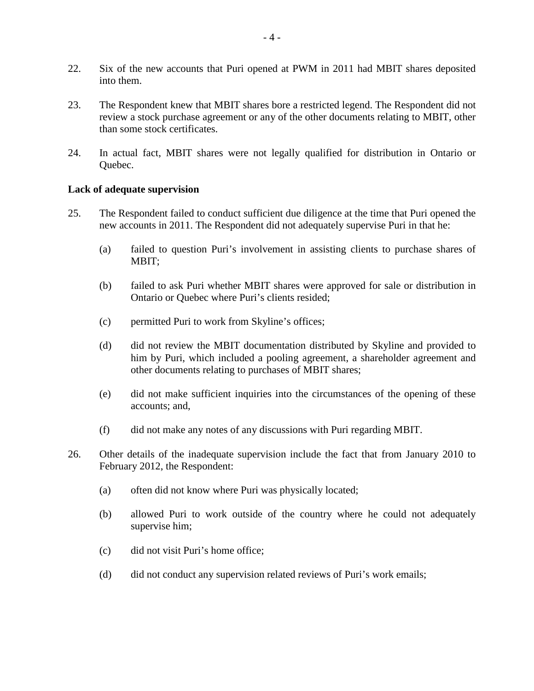- 22. Six of the new accounts that Puri opened at PWM in 2011 had MBIT shares deposited into them.
- 23. The Respondent knew that MBIT shares bore a restricted legend. The Respondent did not review a stock purchase agreement or any of the other documents relating to MBIT, other than some stock certificates.
- 24. In actual fact, MBIT shares were not legally qualified for distribution in Ontario or Quebec.

#### **Lack of adequate supervision**

- 25. The Respondent failed to conduct sufficient due diligence at the time that Puri opened the new accounts in 2011. The Respondent did not adequately supervise Puri in that he:
	- (a) failed to question Puri's involvement in assisting clients to purchase shares of MBIT;
	- (b) failed to ask Puri whether MBIT shares were approved for sale or distribution in Ontario or Quebec where Puri's clients resided;
	- (c) permitted Puri to work from Skyline's offices;
	- (d) did not review the MBIT documentation distributed by Skyline and provided to him by Puri, which included a pooling agreement, a shareholder agreement and other documents relating to purchases of MBIT shares;
	- (e) did not make sufficient inquiries into the circumstances of the opening of these accounts; and,
	- (f) did not make any notes of any discussions with Puri regarding MBIT.
- 26. Other details of the inadequate supervision include the fact that from January 2010 to February 2012, the Respondent:
	- (a) often did not know where Puri was physically located;
	- (b) allowed Puri to work outside of the country where he could not adequately supervise him;
	- (c) did not visit Puri's home office;
	- (d) did not conduct any supervision related reviews of Puri's work emails;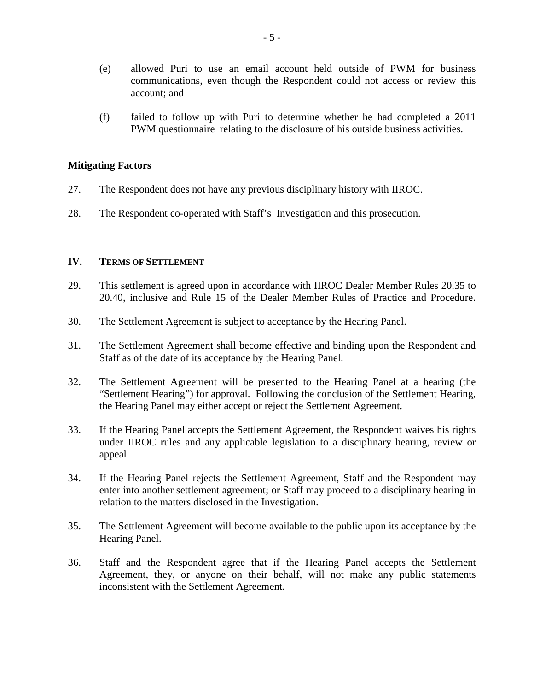- (e) allowed Puri to use an email account held outside of PWM for business communications, even though the Respondent could not access or review this account; and
- (f) failed to follow up with Puri to determine whether he had completed a 2011 PWM questionnaire relating to the disclosure of his outside business activities.

#### **Mitigating Factors**

- 27. The Respondent does not have any previous disciplinary history with IIROC.
- 28. The Respondent co-operated with Staff's Investigation and this prosecution.

#### **IV. TERMS OF SETTLEMENT**

- 29. This settlement is agreed upon in accordance with IIROC Dealer Member Rules 20.35 to 20.40, inclusive and Rule 15 of the Dealer Member Rules of Practice and Procedure.
- 30. The Settlement Agreement is subject to acceptance by the Hearing Panel.
- 31. The Settlement Agreement shall become effective and binding upon the Respondent and Staff as of the date of its acceptance by the Hearing Panel.
- 32. The Settlement Agreement will be presented to the Hearing Panel at a hearing (the "Settlement Hearing") for approval. Following the conclusion of the Settlement Hearing, the Hearing Panel may either accept or reject the Settlement Agreement.
- 33. If the Hearing Panel accepts the Settlement Agreement, the Respondent waives his rights under IIROC rules and any applicable legislation to a disciplinary hearing, review or appeal.
- 34. If the Hearing Panel rejects the Settlement Agreement, Staff and the Respondent may enter into another settlement agreement; or Staff may proceed to a disciplinary hearing in relation to the matters disclosed in the Investigation.
- 35. The Settlement Agreement will become available to the public upon its acceptance by the Hearing Panel.
- 36. Staff and the Respondent agree that if the Hearing Panel accepts the Settlement Agreement, they, or anyone on their behalf, will not make any public statements inconsistent with the Settlement Agreement.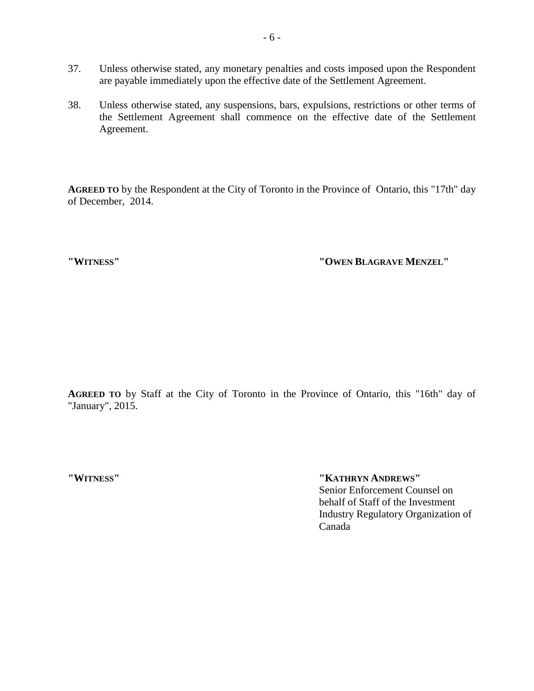- 37. Unless otherwise stated, any monetary penalties and costs imposed upon the Respondent are payable immediately upon the effective date of the Settlement Agreement.
- 38. Unless otherwise stated, any suspensions, bars, expulsions, restrictions or other terms of the Settlement Agreement shall commence on the effective date of the Settlement Agreement.

**AGREED TO** by the Respondent at the City of Toronto in the Province of Ontario, this "17th" day of December, 2014.

**"WITNESS" "OWEN BLAGRAVE MENZEL"**

**AGREED TO** by Staff at the City of Toronto in the Province of Ontario, this "16th" day of "January", 2015.

**"WITNESS" "KATHRYN ANDREWS"** Senior Enforcement Counsel on behalf of Staff of the Investment Industry Regulatory Organization of Canada